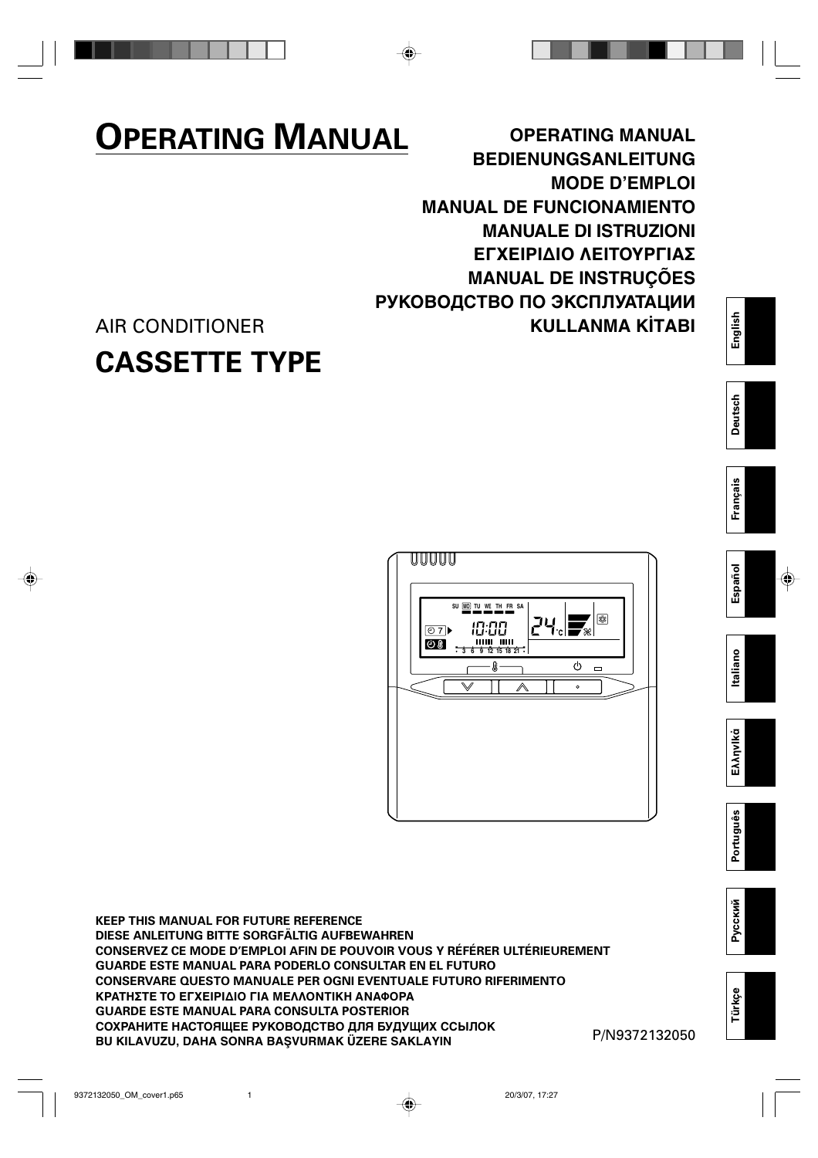# **OPERATING MANUAL**

**OPERATING MANUAL BEDIENUNGSANLEITUNG MODE D'EMPLOI MANUAL DE FUNCIONAMIENTO MANUALE DI ISTRUZIONI** ΕΓΧΕΙΡΙΔΙΟ ΛΕΙΤΟΥΡΓΙΑΣ **MANUAL DE INSTRUÇÕES РУКОВОДСТВО ПО ЭКСПЛУАТАЦИИ KULLANMA KİTABI** 

# AIR CONDITIONER **CASSETTE TYPE**



**KEEP THIS MANUAL FOR FUTURE REFERENCE DIESE ANLEITUNG BITTE SORGFÄLTIG AUFBEWAHREN CONSERVEZ CE MODE D'EMPLOI AFIN DE POUVOIR VOUS Y RÉFÉRER ULTÉRIEUREMENT GUARDE ESTE MANUAL PARA PODERLO CONSULTAR EN EL FUTURO CONSERVARE QUESTO MANUALE PER OGNI EVENTUALE FUTURO RIFERIMENTO** ΚΡΑΤΗΣΤΕ ΤΟ ΕΓΧΕΙΡΙΔΙΟ ΓΙΑ ΜΕΛΛΟΝΤΙΚΗ ΑΝΑΦΟΡΑ **GUARDE ESTE MANUAL PARA CONSULTA POSTERIOR СОХРАНИТЕ НАСТОЯЩЕЕ РУКОВОДСТВО ДЛЯ БУДУЩИХ ССЫЛОК BU KILAVUZU, DAHA SONRA BAŞVURMAK ÜZERE SAKLAYIN** PILIT PARTISTAN PILIT PILIT PILIT PILIT PILIT PILIT PILIT PILI

**Português EλληvIkά Italiano Español Français Deutsch English**

taliano

Ελληνικό

Português

Español

English

**Deutsch** 

Français

**Русский**

**Türkçe**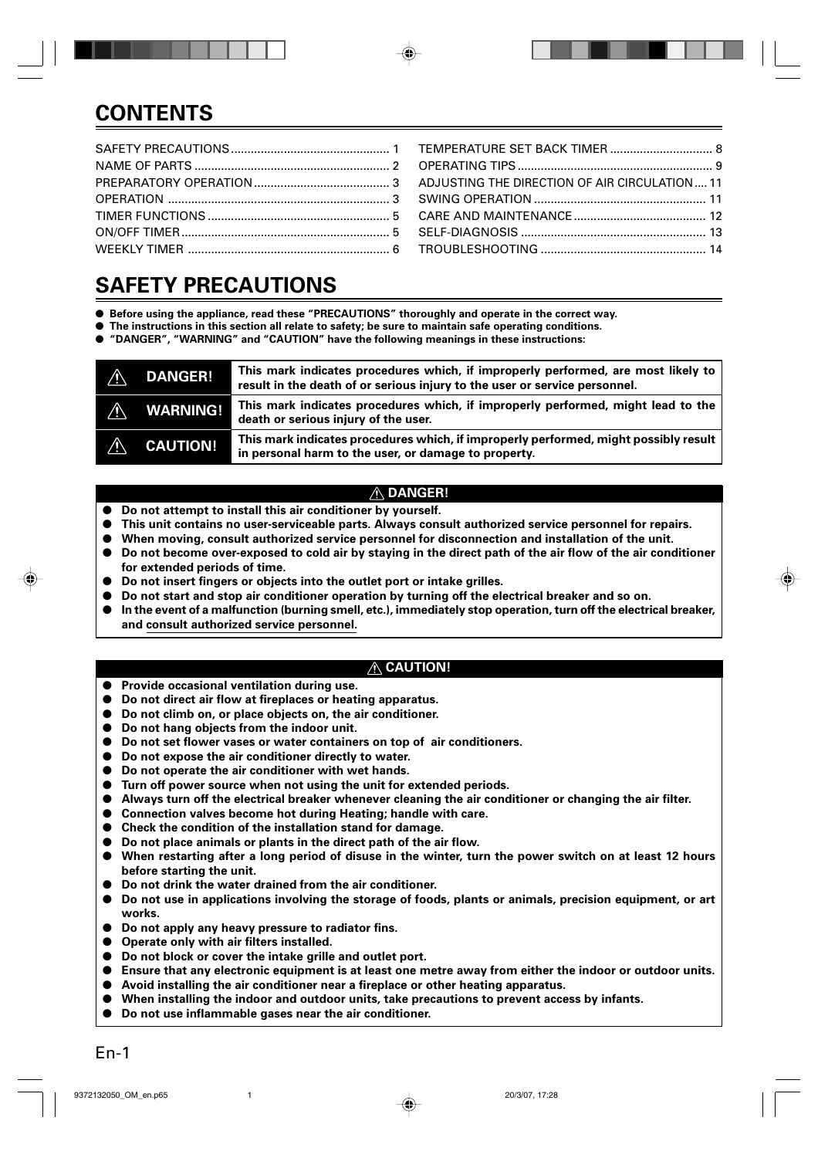# **CONTENTS**

# **SAFETY PRECAUTIONS**

- **Before using the appliance, read these "PRECAUTIONS" thoroughly and operate in the correct way.**
- **The instructions in this section all relate to safety; be sure to maintain safe operating conditions.**
- **"DANGER", "WARNING" and "CAUTION" have the following meanings in these instructions:**

| $\Lambda$              | <b>DANGER!</b>  | This mark indicates procedures which, if improperly performed, are most likely to<br>result in the death of or serious injury to the user or service personnel. |
|------------------------|-----------------|-----------------------------------------------------------------------------------------------------------------------------------------------------------------|
| ∕∖                     | <b>WARNING!</b> | This mark indicates procedures which, if improperly performed, might lead to the<br>death or serious injury of the user.                                        |
| $\boldsymbol{\lambda}$ | <b>CAUTION!</b> | This mark indicates procedures which, if improperly performed, might possibly result<br>in personal harm to the user, or damage to property.                    |

### **DANGER!**

- Do not attempt to install this air conditioner by yourself.
- **This unit contains no user-serviceable parts. Always consult authorized service personnel for repairs.**
- When moving, consult authorized service personnel for disconnection and installation of the unit.
- **Do not become over-exposed to cold air by staying in the direct path of the air flow of the air conditioner for extended periods of time.**
- **Do not insert fingers or objects into the outlet port or intake grilles.**
- **Do not start and stop air conditioner operation by turning off the electrical breaker and so on.**
- **In the event of a malfunction (burning smell, etc.), immediately stop operation, turn off the electrical breaker, and consult authorized service personnel.**

### **CAUTION!**

- **Provide occasional ventilation during use.**
- **Do not direct air flow at fireplaces or heating apparatus.**
- **Do not climb on, or place objects on, the air conditioner.**
- Do not hang objects from the indoor unit.
- Do not set flower vases or water containers on top of air conditioners.
- Do not expose the air conditioner directly to water.
- **Do not operate the air conditioner with wet hands.**
- **Turn off power source when not using the unit for extended periods.**
- **Always turn off the electrical breaker whenever cleaning the air conditioner or changing the air filter.**
- Connection valves become hot during Heating; handle with care.
- **Check the condition of the installation stand for damage.**
- **Do not place animals or plants in the direct path of the air flow.**
- When restarting after a long period of disuse in the winter, turn the power switch on at least 12 hours **before starting the unit.**
- **Do not drink the water drained from the air conditioner.**
- **Do not use in applications involving the storage of foods, plants or animals, precision equipment, or art works.**
- **Do not apply any heavy pressure to radiator fins.**
- **Operate only with air filters installed.**
- Do not block or cover the intake grille and outlet port.
- **Ensure that any electronic equipment is at least one metre away from either the indoor or outdoor units.**
- **Avoid installing the air conditioner near a fireplace or other heating apparatus.**
- When installing the indoor and outdoor units, take precautions to prevent access by infants.
- **Do not use inflammable gases near the air conditioner.**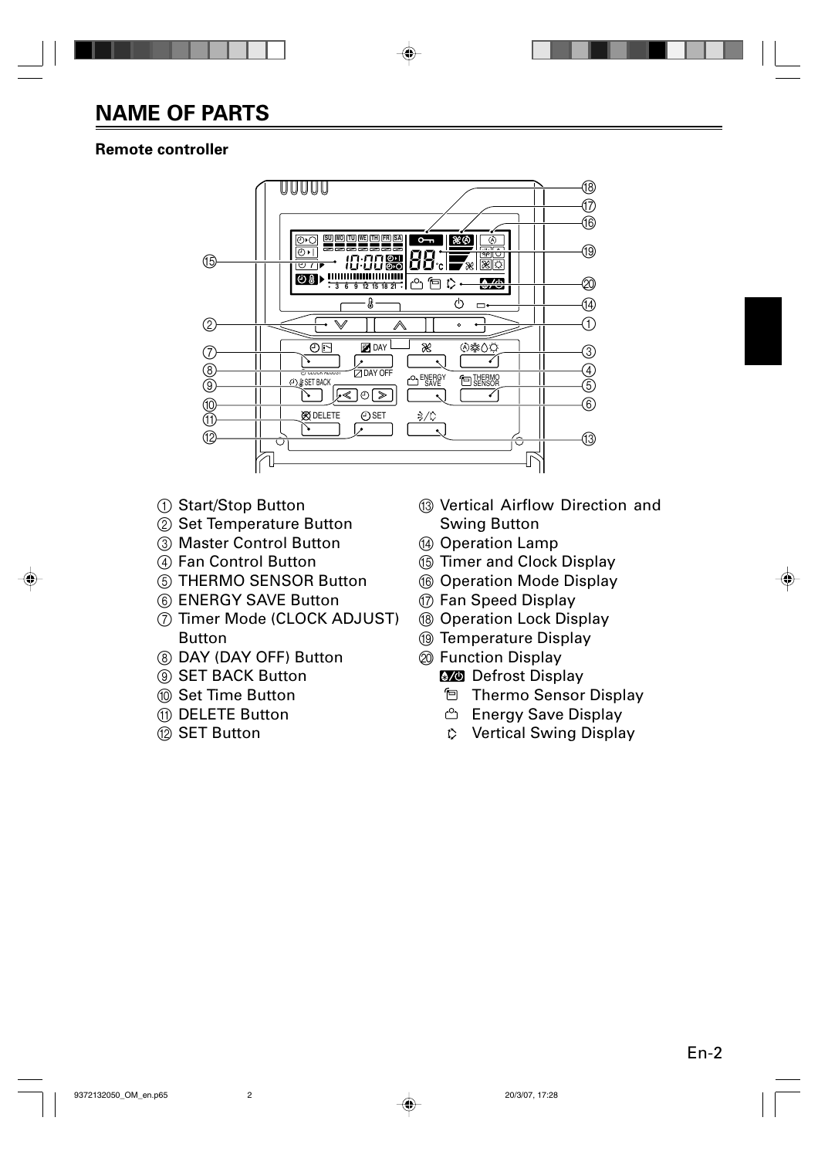# **NAME OF PARTS**

# **Remote controller**



- 1 Start/Stop Button
- 2 Set Temperature Button
- 3 Master Control Button
- 4 Fan Control Button
- 5 THERMO SENSOR Button
- 6 ENERGY SAVE Button
- 7 Timer Mode (CLOCK ADJUST) Button
- 8 DAY (DAY OFF) Button
- 9 SET BACK Button
- 0 Set Time Button
- A DELETE Button
- **12 SET Button**
- (3) Vertical Airflow Direction and Swing Button
- (4) Operation Lamp
- **6 Timer and Clock Display**
- **6** Operation Mode Display
- G Fan Speed Display
- (8) Operation Lock Display
- <sup>(1)</sup> Temperature Display
- $@$  Function Display
	- **8/0** Defrost Display
		- Thermo Sensor Display
		- **Energy Save Display**
		- Vertical Swing Display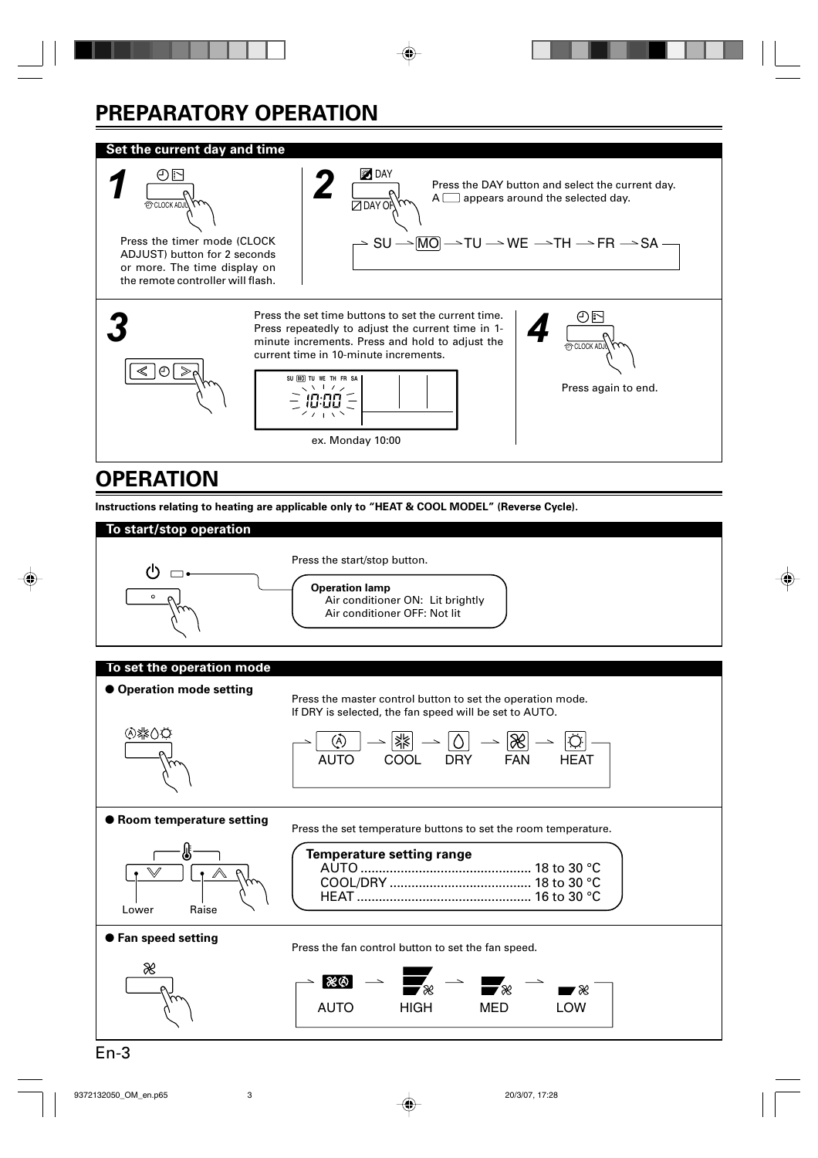# **PREPARATORY OPERATION**

### **Set the current day and time**



# **OPERATION**

**Instructions relating to heating are applicable only to "HEAT & COOL MODEL" (Reverse Cycle).**

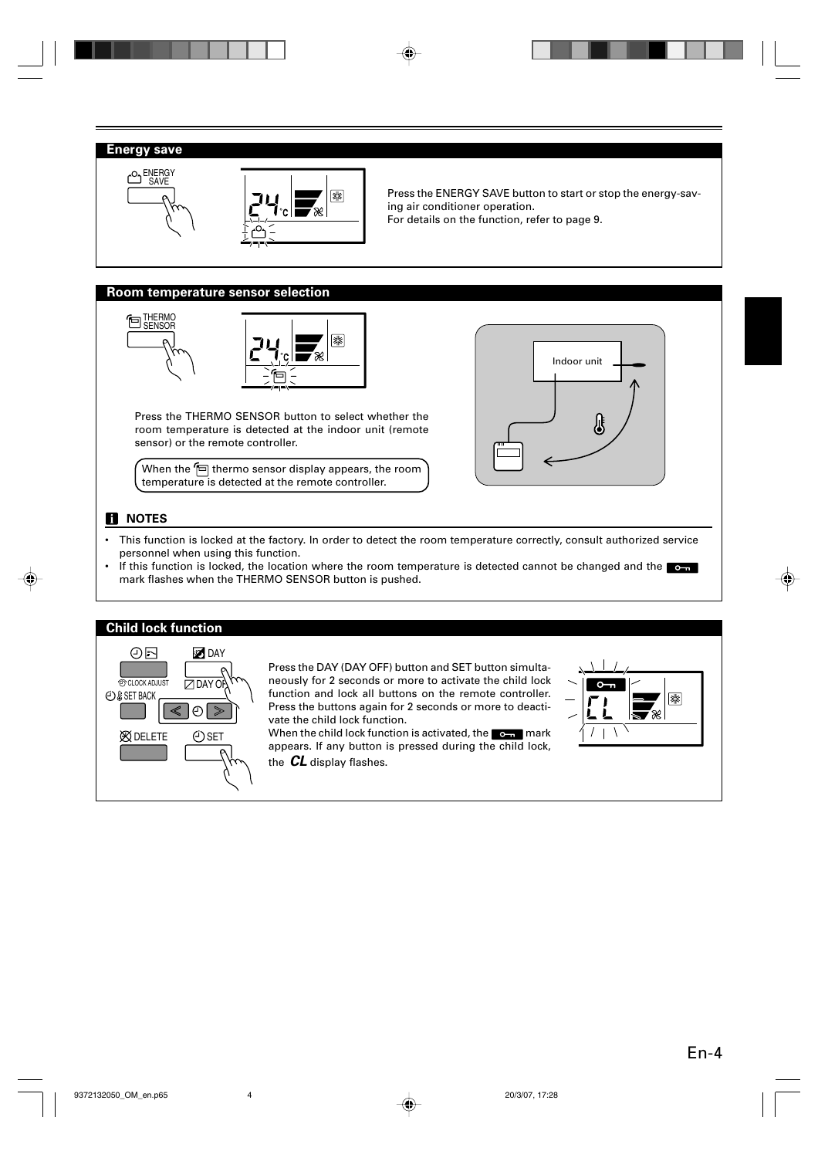### **Energy save**





Press the ENERGY SAVE button to start or stop the energy-saving air conditioner operation.

For details on the function, refer to page 9.

#### **Room temperature sensor selection**





Press the THERMO SENSOR button to select whether the room temperature is detected at the indoor unit (remote sensor) or the remote controller.

When the  $\text{F}$  thermo sensor display appears, the room temperature is detected at the remote controller.



### **NOTES**

- This function is locked at the factory. In order to detect the room temperature correctly, consult authorized service personnel when using this function.
- If this function is locked, the location where the room temperature is detected cannot be changed and the  $\bullet$ mark flashes when the THERMO SENSOR button is pushed.



Press the DAY (DAY OFF) button and SET button simultaneously for 2 seconds or more to activate the child lock function and lock all buttons on the remote controller. Press the buttons again for 2 seconds or more to deactivate the child lock function.

When the child lock function is activated, the  $\sim$  mark appears. If any button is pressed during the child lock, the **CL** display flashes.

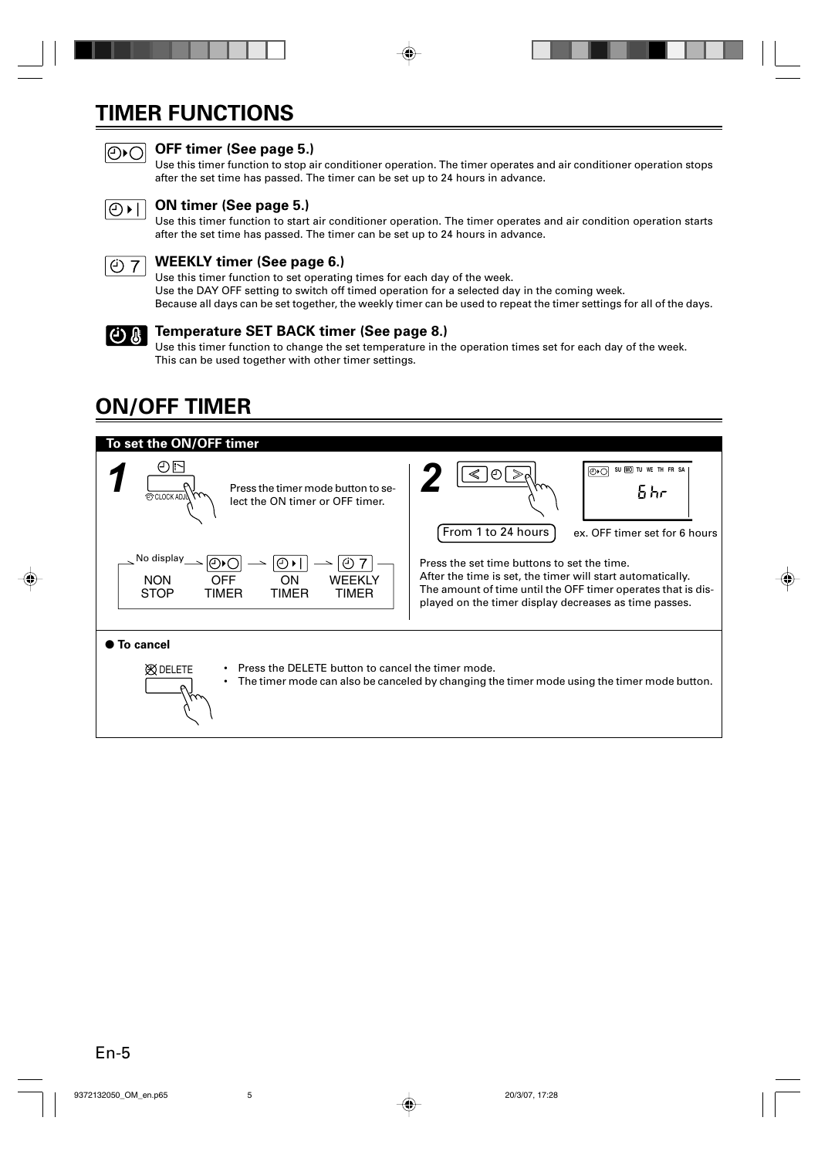# **TIMER FUNCTIONS**



# **OFF timer (See page 5.)**

Use this timer function to stop air conditioner operation. The timer operates and air conditioner operation stops after the set time has passed. The timer can be set up to 24 hours in advance.



### **ON timer (See page 5.)**

Use this timer function to start air conditioner operation. The timer operates and air condition operation starts after the set time has passed. The timer can be set up to 24 hours in advance.



### **WEEKLY timer (See page 6.)**

Use this timer function to set operating times for each day of the week. Use the DAY OFF setting to switch off timed operation for a selected day in the coming week. Because all days can be set together, the weekly timer can be used to repeat the timer settings for all of the days.



### **Temperature SET BACK timer (See page 8.)**

Use this timer function to change the set temperature in the operation times set for each day of the week. This can be used together with other timer settings.

# **ON/OFF TIMER**

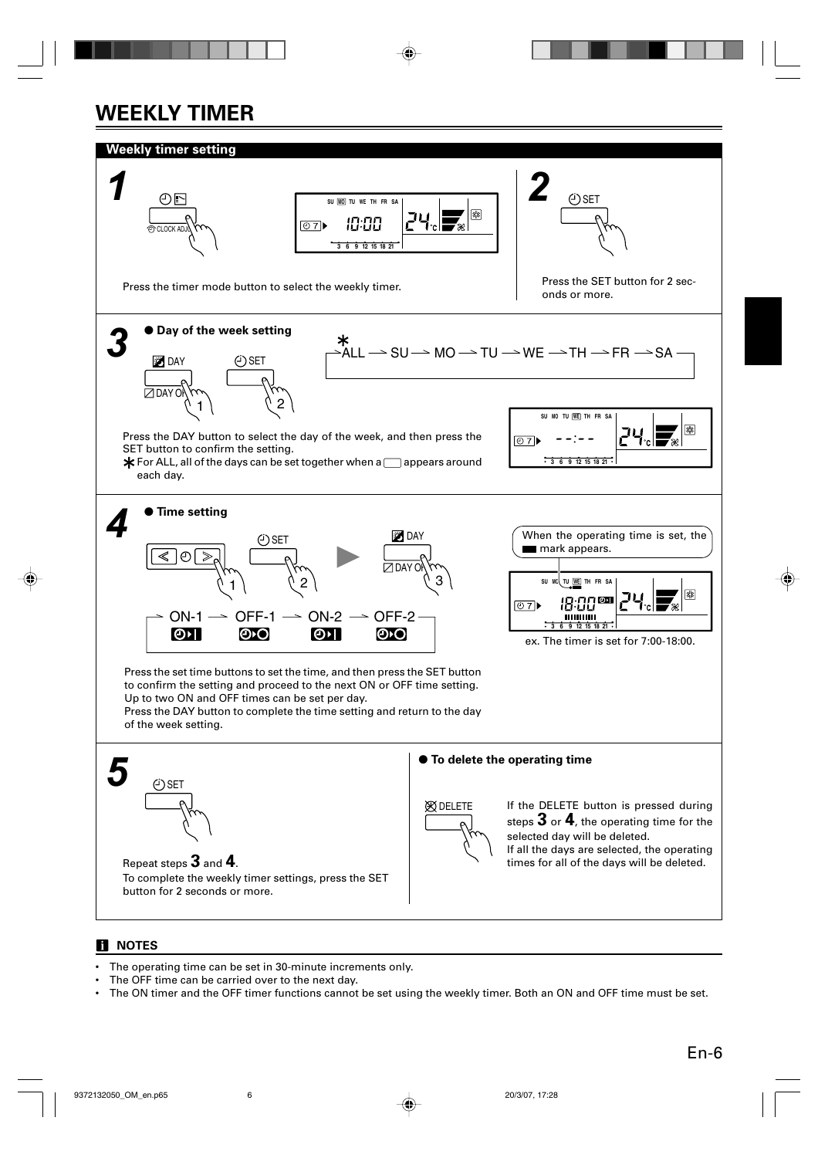# **WEEKLY TIMER**



### **NOTES**

- The operating time can be set in 30-minute increments only.
- The OFF time can be carried over to the next day.
- The ON timer and the OFF timer functions cannot be set using the weekly timer. Both an ON and OFF time must be set.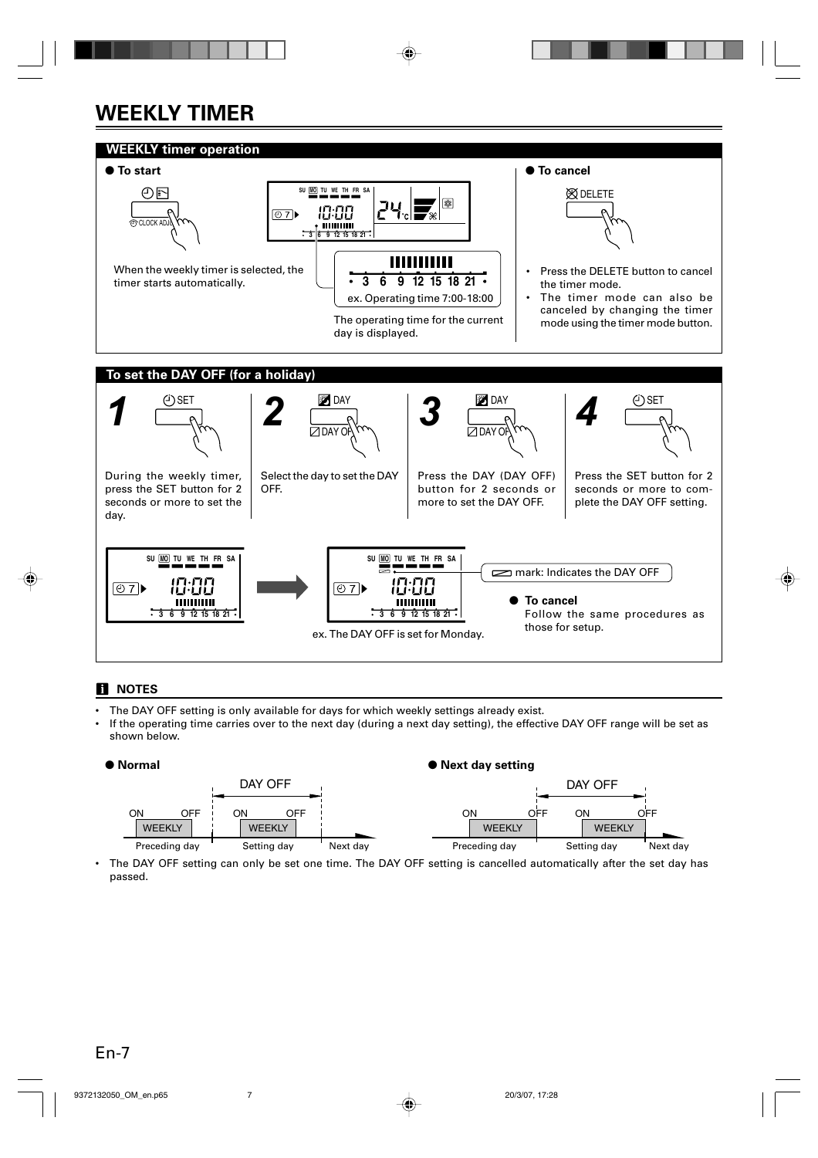# **WEEKLY TIMER**



### **NOTES**

- The DAY OFF setting is only available for days for which weekly settings already exist.
- If the operating time carries over to the next day (during a next day setting), the effective DAY OFF range will be set as shown below.



The DAY OFF setting can only be set one time. The DAY OFF setting is cancelled automatically after the set day has passed.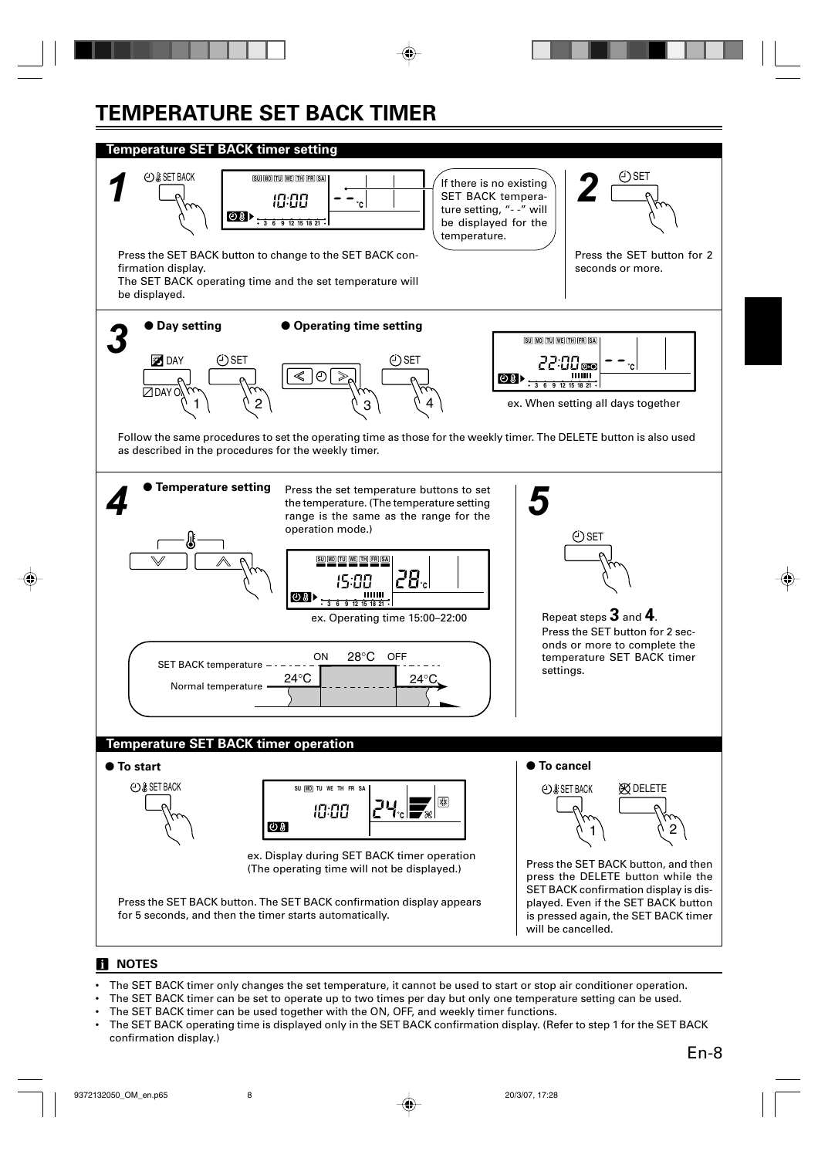# **TEMPERATURE SET BACK TIMER**



### **NOTES**

- The SET BACK timer only changes the set temperature, it cannot be used to start or stop air conditioner operation.
- The SET BACK timer can be set to operate up to two times per day but only one temperature setting can be used.
- The SET BACK timer can be used together with the ON, OFF, and weekly timer functions.
- The SET BACK operating time is displayed only in the SET BACK confirmation display. (Refer to step 1 for the SET BACK confirmation display.)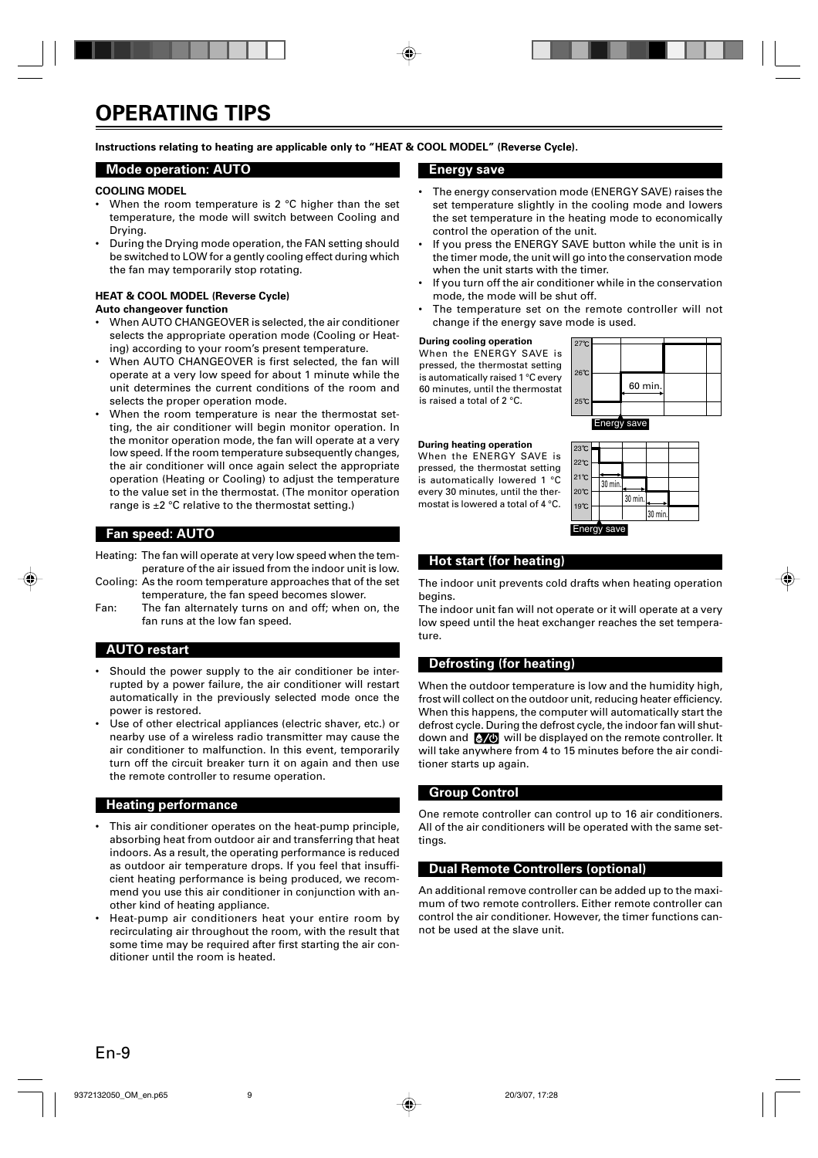**Instructions relating to heating are applicable only to "HEAT & COOL MODEL" (Reverse Cycle).**

#### **Mode operation: AUTO**

#### **COOLING MODEL**

- When the room temperature is 2 °C higher than the set temperature, the mode will switch between Cooling and Drying.
- During the Drying mode operation, the FAN setting should be switched to LOW for a gently cooling effect during which the fan may temporarily stop rotating.

### **HEAT & COOL MODEL (Reverse Cycle)**

#### **Auto changeover function**

- When AUTO CHANGEOVER is selected, the air conditioner selects the appropriate operation mode (Cooling or Heating) according to your room's present temperature.
- When AUTO CHANGEOVER is first selected, the fan will operate at a very low speed for about 1 minute while the unit determines the current conditions of the room and selects the proper operation mode.
- When the room temperature is near the thermostat setting, the air conditioner will begin monitor operation. In the monitor operation mode, the fan will operate at a very low speed. If the room temperature subsequently changes, the air conditioner will once again select the appropriate operation (Heating or Cooling) to adjust the temperature to the value set in the thermostat. (The monitor operation range is ±2 °C relative to the thermostat setting.)

#### **Fan speed: AUTO**

- Heating: The fan will operate at very low speed when the temperature of the air issued from the indoor unit is low.
- Cooling: As the room temperature approaches that of the set temperature, the fan speed becomes slower.
- Fan: The fan alternately turns on and off; when on, the fan runs at the low fan speed.

#### **AUTO restart**

- Should the power supply to the air conditioner be interrupted by a power failure, the air conditioner will restart automatically in the previously selected mode once the power is restored.
- Use of other electrical appliances (electric shaver, etc.) or nearby use of a wireless radio transmitter may cause the air conditioner to malfunction. In this event, temporarily turn off the circuit breaker turn it on again and then use the remote controller to resume operation.

#### **Heating performance**

- This air conditioner operates on the heat-pump principle, absorbing heat from outdoor air and transferring that heat indoors. As a result, the operating performance is reduced as outdoor air temperature drops. If you feel that insufficient heating performance is being produced, we recommend you use this air conditioner in conjunction with another kind of heating appliance.
- Heat-pump air conditioners heat your entire room by recirculating air throughout the room, with the result that some time may be required after first starting the air conditioner until the room is heated.

#### **Energy save**

- The energy conservation mode (ENERGY SAVE) raises the set temperature slightly in the cooling mode and lowers the set temperature in the heating mode to economically control the operation of the unit.
- If you press the ENERGY SAVE button while the unit is in the timer mode, the unit will go into the conservation mode when the unit starts with the timer.
- If you turn off the air conditioner while in the conservation mode, the mode will be shut off.
- The temperature set on the remote controller will not change if the energy save mode is used.

#### **During cooling operation**

When the ENERGY SAVE is pressed, the thermostat setting is automatically raised 1 °C every 60 minutes, until the thermostat is raised a total of 2 °C.



#### **During heating operation**

When the ENERGY SAVE is pressed, the thermostat setting is automatically lowered 1 °C every 30 minutes, until the thermostat is lowered a total of 4 °C.

| 23℃            |         |         |         |  |
|----------------|---------|---------|---------|--|
| $22^{\circ}$ C |         |         |         |  |
|                |         |         |         |  |
| $21^{\circ}C$  |         |         |         |  |
|                | 30 min. |         |         |  |
| 20℃<br>19°C    |         | 30 min. |         |  |
|                |         |         | 30 min. |  |
|                |         |         |         |  |

## Energy save

#### **Hot start (for heating)**

The indoor unit prevents cold drafts when heating operation begins.

The indoor unit fan will not operate or it will operate at a very low speed until the heat exchanger reaches the set temperature.

#### **Defrosting (for heating)**

When the outdoor temperature is low and the humidity high, frost will collect on the outdoor unit, reducing heater efficiency. When this happens, the computer will automatically start the defrost cycle. During the defrost cycle, the indoor fan will shutdown and  $\sqrt[k]{\Phi}$  will be displayed on the remote controller. It will take anywhere from 4 to 15 minutes before the air conditioner starts up again.

#### **Group Control**

One remote controller can control up to 16 air conditioners. All of the air conditioners will be operated with the same settings.

#### **Dual Remote Controllers (optional)**

An additional remove controller can be added up to the maximum of two remote controllers. Either remote controller can control the air conditioner. However, the timer functions cannot be used at the slave unit.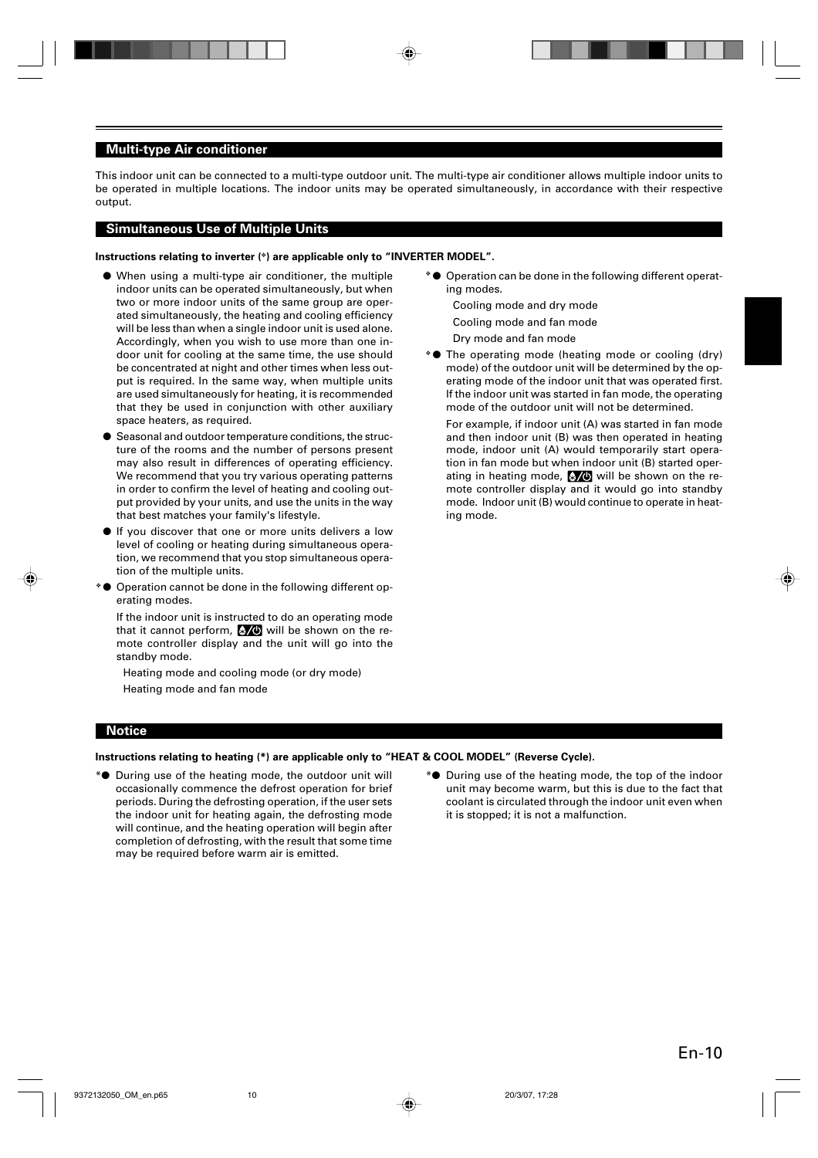#### **Multi-type Air conditioner**

This indoor unit can be connected to a multi-type outdoor unit. The multi-type air conditioner allows multiple indoor units to be operated in multiple locations. The indoor units may be operated simultaneously, in accordance with their respective output.

#### **Simultaneous Use of Multiple Units**

#### **Instructions relating to inverter (**❖**) are applicable only to "INVERTER MODEL".**

- When using a multi-type air conditioner, the multiple indoor units can be operated simultaneously, but when two or more indoor units of the same group are operated simultaneously, the heating and cooling efficiency will be less than when a single indoor unit is used alone. Accordingly, when you wish to use more than one indoor unit for cooling at the same time, the use should be concentrated at night and other times when less output is required. In the same way, when multiple units are used simultaneously for heating, it is recommended that they be used in conjunction with other auxiliary space heaters, as required.
- Seasonal and outdoor temperature conditions, the structure of the rooms and the number of persons present may also result in differences of operating efficiency. We recommend that you try various operating patterns in order to confirm the level of heating and cooling output provided by your units, and use the units in the way that best matches your family's lifestyle.
- If you discover that one or more units delivers a low level of cooling or heating during simultaneous operation, we recommend that you stop simultaneous operation of the multiple units.
- ❖ Operation cannot be done in the following different operating modes.

If the indoor unit is instructed to do an operating mode that it cannot perform,  $\sqrt{6}$  will be shown on the remote controller display and the unit will go into the standby mode.

Heating mode and cooling mode (or dry mode) Heating mode and fan mode

❖ ● Operation can be done in the following different operating modes.

Cooling mode and dry mode

Cooling mode and fan mode

Dry mode and fan mode

❖ ● The operating mode (heating mode or cooling (dry) mode) of the outdoor unit will be determined by the operating mode of the indoor unit that was operated first. If the indoor unit was started in fan mode, the operating mode of the outdoor unit will not be determined.

For example, if indoor unit (A) was started in fan mode and then indoor unit (B) was then operated in heating mode, indoor unit (A) would temporarily start operation in fan mode but when indoor unit (B) started operating in heating mode,  $\sqrt[3]{\mathbb{O}}$  will be shown on the remote controller display and it would go into standby mode. Indoor unit (B) would continue to operate in heating mode.

#### **Notice**

#### **Instructions relating to heating (\*) are applicable only to "HEAT & COOL MODEL" (Reverse Cycle).**

- \*● During use of the heating mode, the outdoor unit will occasionally commence the defrost operation for brief periods. During the defrosting operation, if the user sets the indoor unit for heating again, the defrosting mode will continue, and the heating operation will begin after completion of defrosting, with the result that some time may be required before warm air is emitted.
- \*● During use of the heating mode, the top of the indoor unit may become warm, but this is due to the fact that coolant is circulated through the indoor unit even when it is stopped; it is not a malfunction.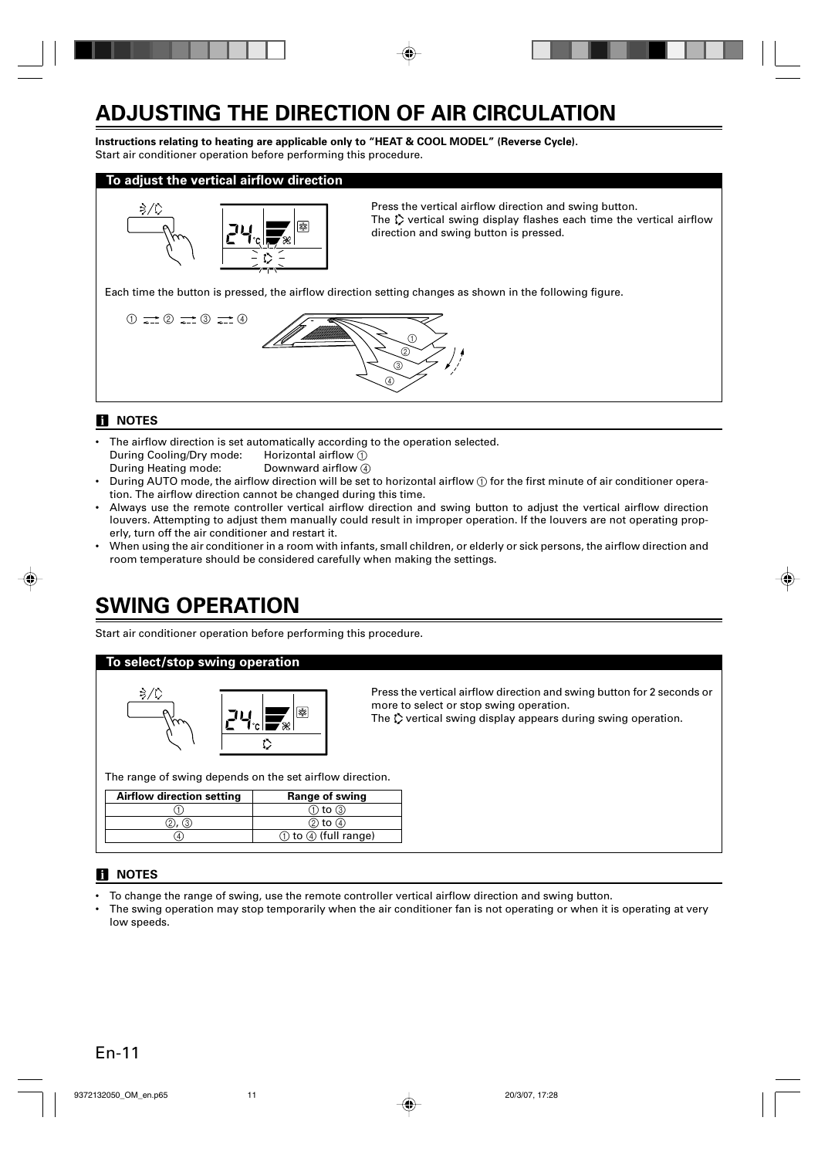# **ADJUSTING THE DIRECTION OF AIR CIRCULATION**

**Instructions relating to heating are applicable only to "HEAT & COOL MODEL" (Reverse Cycle).** Start air conditioner operation before performing this procedure.

#### **To adjust the vertical airflow direction**



Press the vertical airflow direction and swing button. The  $\ddot{\psi}$  vertical swing display flashes each time the vertical airflow direction and swing button is pressed.

Each time the button is pressed, the airflow direction setting changes as shown in the following figure.



### **NOTES**

- The airflow direction is set automatically according to the operation selected. During Cooling/Dry mode: Horizontal airflow (1) During Heating mode: Downward airflow (4)
- During AUTO mode, the airflow direction will be set to horizontal airflow  $(i)$  for the first minute of air conditioner operation. The airflow direction cannot be changed during this time.
- Always use the remote controller vertical airflow direction and swing button to adjust the vertical airflow direction louvers. Attempting to adjust them manually could result in improper operation. If the louvers are not operating properly, turn off the air conditioner and restart it.
- When using the air conditioner in a room with infants, small children, or elderly or sick persons, the airflow direction and room temperature should be considered carefully when making the settings.

# **SWING OPERATION**

Start air conditioner operation before performing this procedure.

#### **To select/stop swing operation**



Press the vertical airflow direction and swing button for 2 seconds or more to select or stop swing operation.

The  $\Diamond$  vertical swing display appears during swing operation.

The range of swing depends on the set airflow direction.

| <b>Airflow direction setting</b> | Range of swing          |
|----------------------------------|-------------------------|
|                                  | $(1)$ to $(3)$          |
|                                  | $(2)$ to $(4)$          |
|                                  | (1) to (4) (full range) |

### **NOTES**

- To change the range of swing, use the remote controller vertical airflow direction and swing button.
- The swing operation may stop temporarily when the air conditioner fan is not operating or when it is operating at very low speeds.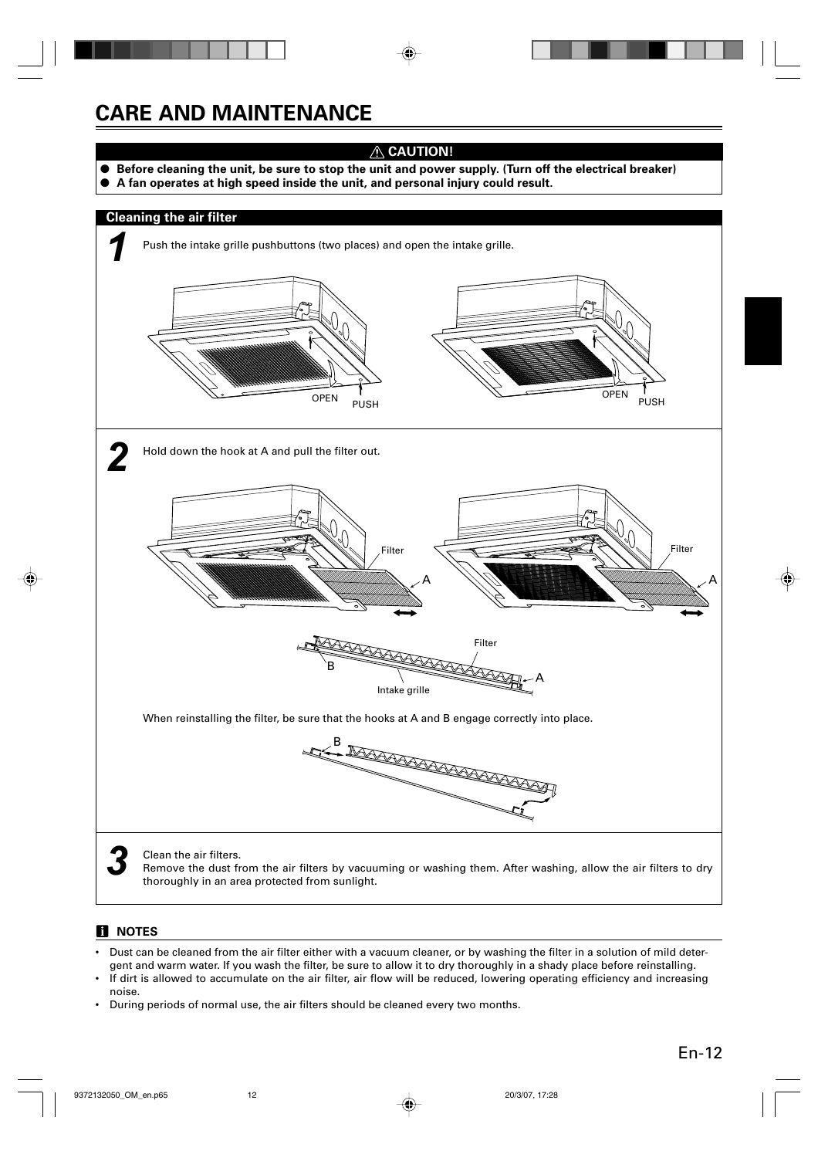# **CARE AND MAINTENANCE**

# **CAUTION!**

- Before cleaning the unit, be sure to stop the unit and power supply. (Turn off the electrical breaker)
- **A fan operates at high speed inside the unit, and personal injury could result.**



### **H** NOTES

- Dust can be cleaned from the air filter either with a vacuum cleaner, or by washing the filter in a solution of mild detergent and warm water. If you wash the filter, be sure to allow it to dry thoroughly in a shady place before reinstalling.
- If dirt is allowed to accumulate on the air filter, air flow will be reduced, lowering operating efficiency and increasing noise.
- During periods of normal use, the air filters should be cleaned every two months.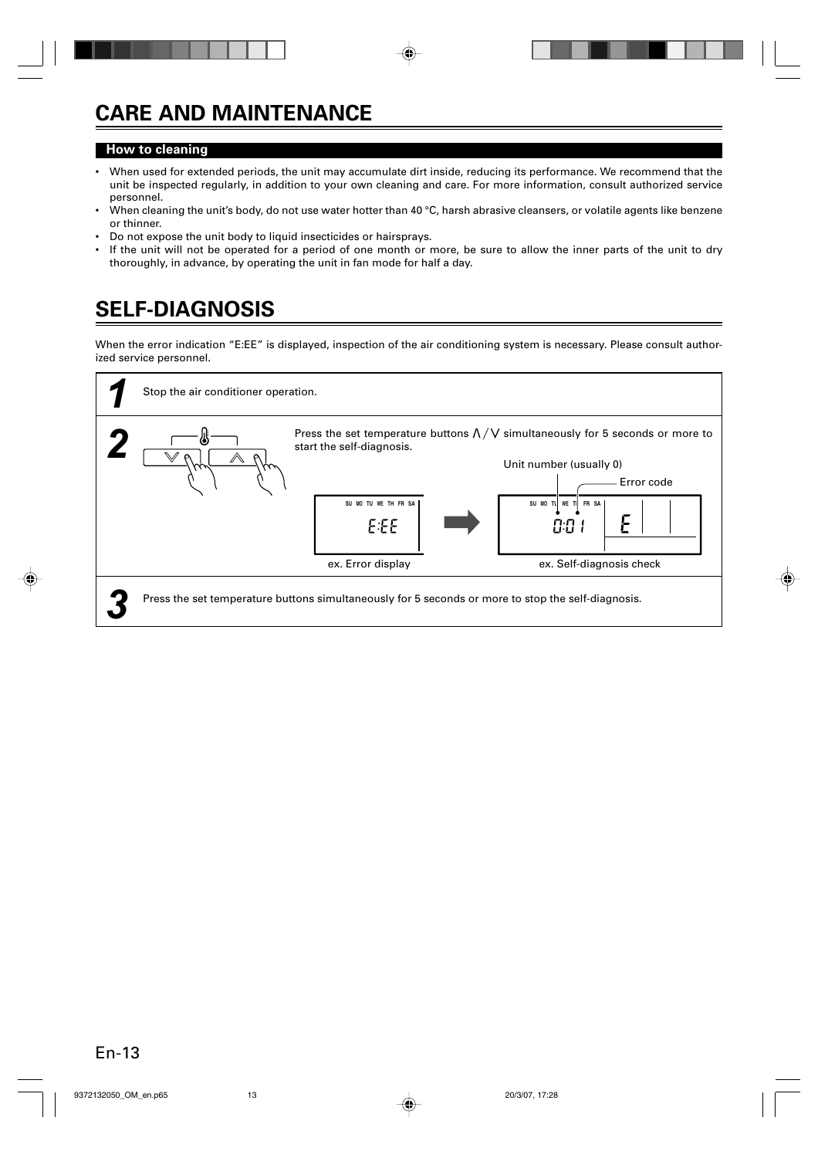# **CARE AND MAINTENANCE**

### **How to cleaning**

- When used for extended periods, the unit may accumulate dirt inside, reducing its performance. We recommend that the unit be inspected regularly, in addition to your own cleaning and care. For more information, consult authorized service personnel.
- When cleaning the unit's body, do not use water hotter than 40  $\degree$ C, harsh abrasive cleansers, or volatile agents like benzene or thinner.
- Do not expose the unit body to liquid insecticides or hairsprays.
- If the unit will not be operated for a period of one month or more, be sure to allow the inner parts of the unit to dry thoroughly, in advance, by operating the unit in fan mode for half a day.

# **SELF-DIAGNOSIS**

When the error indication "E:EE" is displayed, inspection of the air conditioning system is necessary. Please consult authorized service personnel.

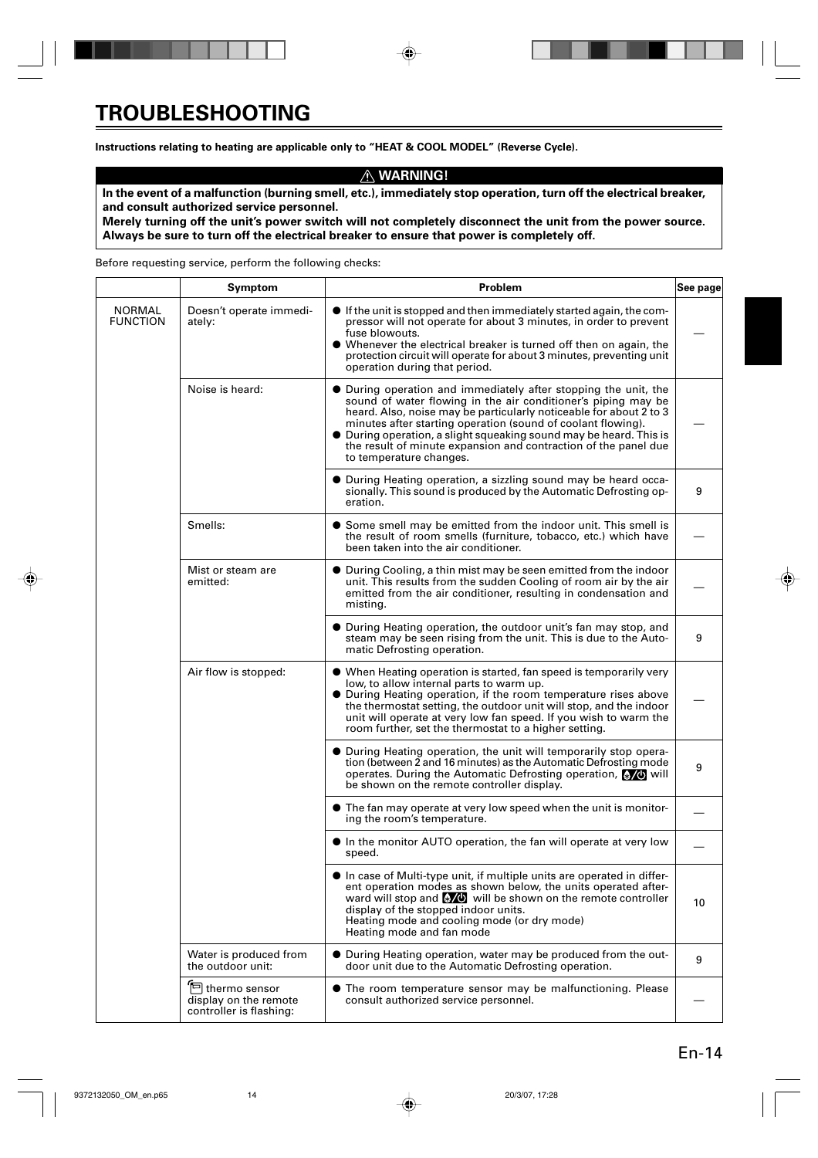**Instructions relating to heating are applicable only to "HEAT & COOL MODEL" (Reverse Cycle).**

### **WARNING!**

**In the event of a malfunction (burning smell, etc.), immediately stop operation, turn off the electrical breaker, and consult authorized service personnel.**

**Merely turning off the unit's power switch will not completely disconnect the unit from the power source. Always be sure to turn off the electrical breaker to ensure that power is completely off.**

Before requesting service, perform the following checks:

|                           | Symptom                                                                                                                                                                                                                                                | Problem<br>See page                                                                                                                                                                                                                                                                                                                                                                                                                        |    |  |  |  |  |  |  |  |
|---------------------------|--------------------------------------------------------------------------------------------------------------------------------------------------------------------------------------------------------------------------------------------------------|--------------------------------------------------------------------------------------------------------------------------------------------------------------------------------------------------------------------------------------------------------------------------------------------------------------------------------------------------------------------------------------------------------------------------------------------|----|--|--|--|--|--|--|--|
| NORMAL<br><b>FUNCTION</b> | Doesn't operate immedi-<br>ately:                                                                                                                                                                                                                      | $\bullet$ If the unit is stopped and then immediately started again, the com-<br>pressor will not operate for about 3 minutes, in order to prevent<br>fuse blowouts.<br>• Whenever the electrical breaker is turned off then on again, the<br>protection circuit will operate for about 3 minutes, preventing unit<br>operation during that period.                                                                                        |    |  |  |  |  |  |  |  |
|                           | Noise is heard:                                                                                                                                                                                                                                        | • During operation and immediately after stopping the unit, the<br>sound of water flowing in the air conditioner's piping may be<br>heard. Also, noise may be particularly noticeable for about 2 to 3<br>minutes after starting operation (sound of coolant flowing).<br>• During operation, a slight squeaking sound may be heard. This is<br>the result of minute expansion and contraction of the panel due<br>to temperature changes. |    |  |  |  |  |  |  |  |
|                           |                                                                                                                                                                                                                                                        | • During Heating operation, a sizzling sound may be heard occa-<br>sionally. This sound is produced by the Automatic Defrosting op-<br>eration.                                                                                                                                                                                                                                                                                            | 9  |  |  |  |  |  |  |  |
|                           | Smells:<br>Some smell may be emitted from the indoor unit. This smell is<br>the result of room smells (furniture, tobacco, etc.) which have<br>been taken into the air conditioner.                                                                    |                                                                                                                                                                                                                                                                                                                                                                                                                                            |    |  |  |  |  |  |  |  |
|                           | ● During Cooling, a thin mist may be seen emitted from the indoor<br>Mist or steam are<br>emitted:<br>unit. This results from the sudden Cooling of room air by the air<br>emitted from the air conditioner, resulting in condensation and<br>misting. |                                                                                                                                                                                                                                                                                                                                                                                                                                            |    |  |  |  |  |  |  |  |
|                           |                                                                                                                                                                                                                                                        | • During Heating operation, the outdoor unit's fan may stop, and<br>steam may be seen rising from the unit. This is due to the Auto-<br>matic Defrosting operation.                                                                                                                                                                                                                                                                        |    |  |  |  |  |  |  |  |
|                           | Air flow is stopped:                                                                                                                                                                                                                                   | • When Heating operation is started, fan speed is temporarily very<br>low, to allow internal parts to warm up.<br>• During Heating operation, if the room temperature rises above<br>the thermostat setting, the outdoor unit will stop, and the indoor<br>unit will operate at very low fan speed. If you wish to warm the<br>room further, set the thermostat to a higher setting.                                                       |    |  |  |  |  |  |  |  |
|                           |                                                                                                                                                                                                                                                        | • During Heating operation, the unit will temporarily stop opera-<br>tion (between 2 and 16 minutes) as the Automatic Defrosting mode<br>operates. During the Automatic Defrosting operation, 800 will<br>be shown on the remote controller display.                                                                                                                                                                                       | 9  |  |  |  |  |  |  |  |
|                           |                                                                                                                                                                                                                                                        | $\bullet$ The fan may operate at very low speed when the unit is monitor-<br>ing the room's temperature.                                                                                                                                                                                                                                                                                                                                   |    |  |  |  |  |  |  |  |
|                           |                                                                                                                                                                                                                                                        | • In the monitor AUTO operation, the fan will operate at very low<br>speed.                                                                                                                                                                                                                                                                                                                                                                |    |  |  |  |  |  |  |  |
|                           |                                                                                                                                                                                                                                                        | • In case of Multi-type unit, if multiple units are operated in differ-<br>ent operation modes as shown below, the units operated after-<br>ward will stop and $\mathbb{W}^{\bullet}$ will be shown on the remote controller<br>display of the stopped indoor units.<br>Heating mode and cooling mode (or dry mode)<br>Heating mode and fan mode                                                                                           | 10 |  |  |  |  |  |  |  |
|                           | Water is produced from<br>the outdoor unit:                                                                                                                                                                                                            | • During Heating operation, water may be produced from the out-<br>door unit due to the Automatic Defrosting operation.                                                                                                                                                                                                                                                                                                                    | 9  |  |  |  |  |  |  |  |
|                           | E thermo sensor<br>display on the remote<br>controller is flashing:                                                                                                                                                                                    | • The room temperature sensor may be malfunctioning. Please<br>consult authorized service personnel.                                                                                                                                                                                                                                                                                                                                       |    |  |  |  |  |  |  |  |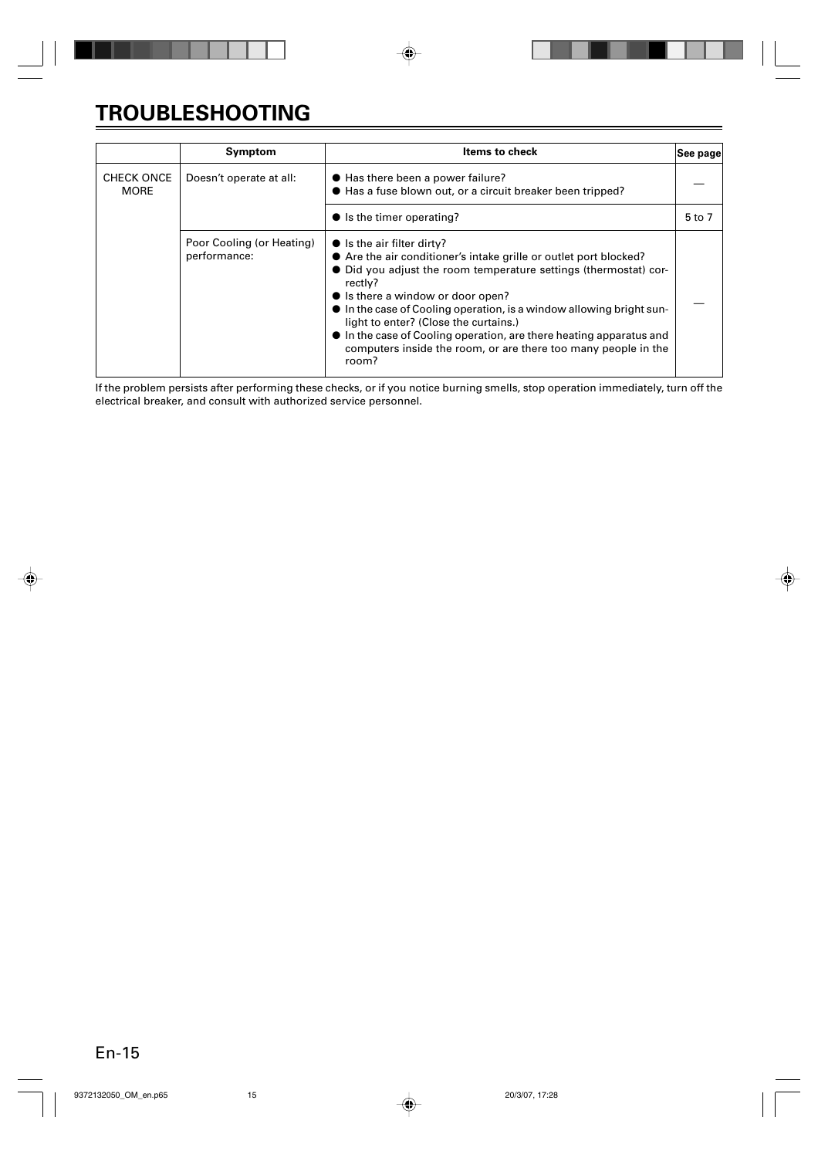# **TROUBLESHOOTING**

|                                  | Symptom                                   | <b>Items to check</b>                                                                                                                                                                                                                                                                                                                                                                                                                                                                          | See page |
|----------------------------------|-------------------------------------------|------------------------------------------------------------------------------------------------------------------------------------------------------------------------------------------------------------------------------------------------------------------------------------------------------------------------------------------------------------------------------------------------------------------------------------------------------------------------------------------------|----------|
| <b>CHECK ONCE</b><br><b>MORE</b> | Doesn't operate at all:                   | ● Has there been a power failure?<br>● Has a fuse blown out, or a circuit breaker been tripped?                                                                                                                                                                                                                                                                                                                                                                                                |          |
|                                  |                                           | $\bullet$ is the timer operating?                                                                                                                                                                                                                                                                                                                                                                                                                                                              | 5 to 7   |
|                                  | Poor Cooling (or Heating)<br>performance: | $\bullet$ is the air filter dirty?<br>• Are the air conditioner's intake grille or outlet port blocked?<br>• Did you adjust the room temperature settings (thermostat) cor-<br>rectly?<br>• Is there a window or door open?<br>• In the case of Cooling operation, is a window allowing bright sun-<br>light to enter? (Close the curtains.)<br>• In the case of Cooling operation, are there heating apparatus and<br>computers inside the room, or are there too many people in the<br>room? |          |

If the problem persists after performing these checks, or if you notice burning smells, stop operation immediately, turn off the electrical breaker, and consult with authorized service personnel.